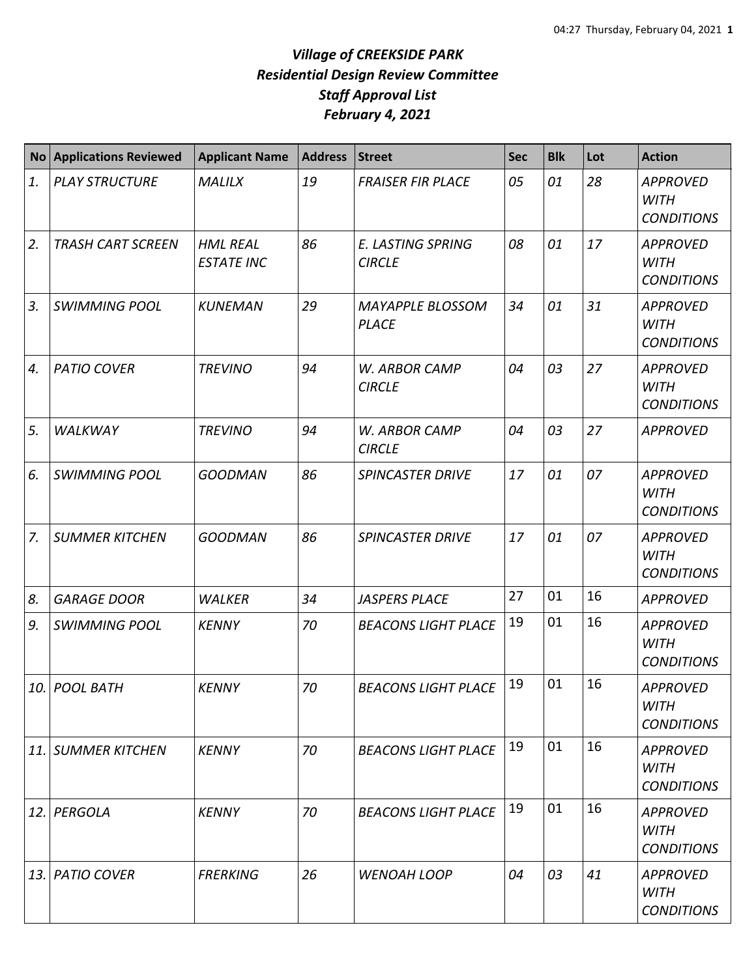|            | No Applications Reviewed | <b>Applicant Name</b>                | <b>Address</b> | <b>Street</b>                             | <b>Sec</b> | <b>Blk</b> | Lot | <b>Action</b>                                       |
|------------|--------------------------|--------------------------------------|----------------|-------------------------------------------|------------|------------|-----|-----------------------------------------------------|
| 1.         | <b>PLAY STRUCTURE</b>    | <b>MALILX</b>                        | 19             | <b>FRAISER FIR PLACE</b>                  | 05         | 01         | 28  | <b>APPROVED</b><br><b>WITH</b><br><b>CONDITIONS</b> |
| 2.         | <b>TRASH CART SCREEN</b> | <b>HML REAL</b><br><b>ESTATE INC</b> | 86             | <b>E. LASTING SPRING</b><br><b>CIRCLE</b> | 08         | 01         | 17  | <b>APPROVED</b><br><b>WITH</b><br><b>CONDITIONS</b> |
| 3.         | <b>SWIMMING POOL</b>     | <b>KUNEMAN</b>                       | 29             | <b>MAYAPPLE BLOSSOM</b><br><b>PLACE</b>   | 34         | 01         | 31  | <b>APPROVED</b><br><b>WITH</b><br><b>CONDITIONS</b> |
| 4.         | <b>PATIO COVER</b>       | <b>TREVINO</b>                       | 94             | W. ARBOR CAMP<br><b>CIRCLE</b>            | 04         | 03         | 27  | <b>APPROVED</b><br><b>WITH</b><br><b>CONDITIONS</b> |
| 5.         | <b>WALKWAY</b>           | <b>TREVINO</b>                       | 94             | W. ARBOR CAMP<br><b>CIRCLE</b>            | 04         | 03         | 27  | <b>APPROVED</b>                                     |
| 6.         | <b>SWIMMING POOL</b>     | <b>GOODMAN</b>                       | 86             | <b>SPINCASTER DRIVE</b>                   | 17         | 01         | 07  | <b>APPROVED</b><br><b>WITH</b><br><b>CONDITIONS</b> |
| 7.         | <b>SUMMER KITCHEN</b>    | <b>GOODMAN</b>                       | 86             | <b>SPINCASTER DRIVE</b>                   | 17         | 01         | 07  | <b>APPROVED</b><br><b>WITH</b><br><b>CONDITIONS</b> |
| 8.         | <b>GARAGE DOOR</b>       | <b>WALKER</b>                        | 34             | <b>JASPERS PLACE</b>                      | 27         | 01         | 16  | <b>APPROVED</b>                                     |
| 9.         | <b>SWIMMING POOL</b>     | <b>KENNY</b>                         | 70             | <b>BEACONS LIGHT PLACE</b>                | 19         | 01         | 16  | <b>APPROVED</b><br><b>WITH</b><br><b>CONDITIONS</b> |
| 10.        | <b>POOL BATH</b>         | <b>KENNY</b>                         | 70             | <b>BEACONS LIGHT PLACE</b>                | 19         | 01         | 16  | <b>APPROVED</b><br><b>WITH</b><br><b>CONDITIONS</b> |
| 11.        | <b>SUMMER KITCHEN</b>    | <b>KENNY</b>                         | 70             | <b>BEACONS LIGHT PLACE</b>                | 19         | 01         | 16  | <b>APPROVED</b><br><b>WITH</b><br><b>CONDITIONS</b> |
| 12.        | PERGOLA                  | <b>KENNY</b>                         | 70             | <b>BEACONS LIGHT PLACE</b>                | 19         | 01         | 16  | <b>APPROVED</b><br><b>WITH</b><br><b>CONDITIONS</b> |
| <b>13.</b> | <b>PATIO COVER</b>       | <b>FRERKING</b>                      | 26             | <b>WENOAH LOOP</b>                        | 04         | 03         | 41  | <b>APPROVED</b><br>WITH<br><b>CONDITIONS</b>        |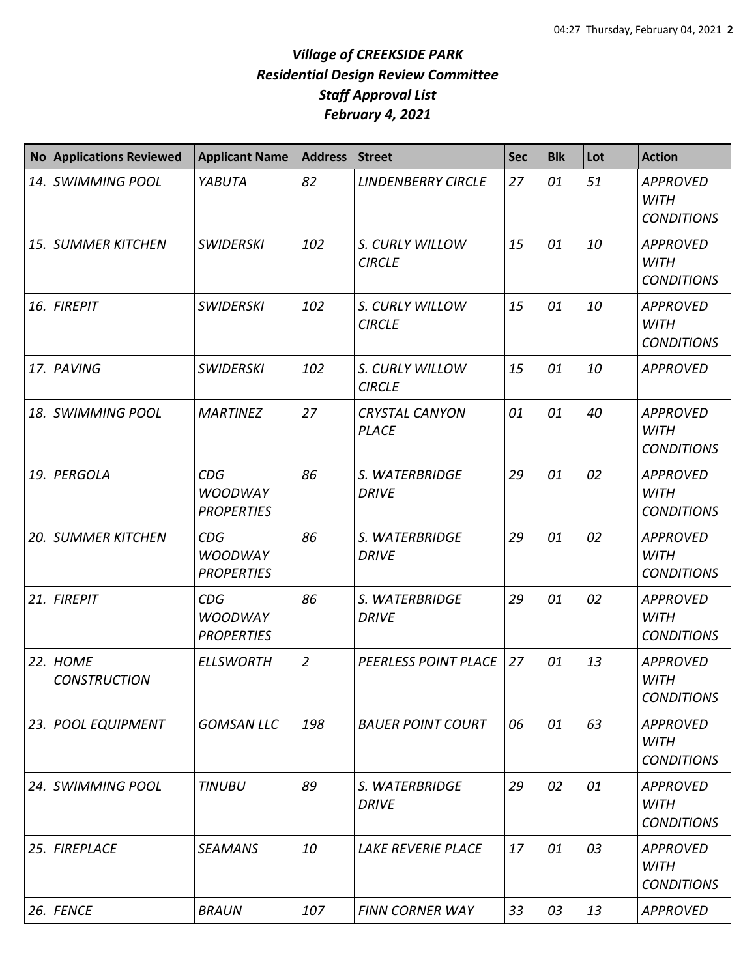|      | <b>No Applications Reviewed</b>    | <b>Applicant Name</b>                             | <b>Address</b> | <b>Street</b>                         | <b>Sec</b> | <b>Blk</b> | Lot | <b>Action</b>                                       |
|------|------------------------------------|---------------------------------------------------|----------------|---------------------------------------|------------|------------|-----|-----------------------------------------------------|
| 14.  | <b>SWIMMING POOL</b>               | YABUTA                                            | 82             | <b>LINDENBERRY CIRCLE</b>             | 27         | 01         | 51  | <b>APPROVED</b><br><b>WITH</b><br><b>CONDITIONS</b> |
| 15.  | <b>SUMMER KITCHEN</b>              | <b>SWIDERSKI</b>                                  | 102            | S. CURLY WILLOW<br><b>CIRCLE</b>      | 15         | 01         | 10  | <b>APPROVED</b><br><b>WITH</b><br><b>CONDITIONS</b> |
| 16.  | <b>FIREPIT</b>                     | <b>SWIDERSKI</b>                                  | 102            | S. CURLY WILLOW<br><b>CIRCLE</b>      | 15         | 01         | 10  | <b>APPROVED</b><br><b>WITH</b><br><b>CONDITIONS</b> |
| 17.  | PAVING                             | <b>SWIDERSKI</b>                                  | 102            | S. CURLY WILLOW<br><b>CIRCLE</b>      | 15         | 01         | 10  | <b>APPROVED</b>                                     |
| 18.  | <b>SWIMMING POOL</b>               | <b>MARTINEZ</b>                                   | 27             | <b>CRYSTAL CANYON</b><br><b>PLACE</b> | 01         | 01         | 40  | <b>APPROVED</b><br><b>WITH</b><br><b>CONDITIONS</b> |
| 19.  | <b>PERGOLA</b>                     | CDG<br><b>WOODWAY</b><br><b>PROPERTIES</b>        | 86             | S. WATERBRIDGE<br><b>DRIVE</b>        | 29         | 01         | 02  | <b>APPROVED</b><br><b>WITH</b><br><b>CONDITIONS</b> |
| 20.  | <b>SUMMER KITCHEN</b>              | CDG<br><b>WOODWAY</b><br><b>PROPERTIES</b>        | 86             | S. WATERBRIDGE<br><b>DRIVE</b>        | 29         | 01         | 02  | <b>APPROVED</b><br><b>WITH</b><br><b>CONDITIONS</b> |
| 21.  | <b>FIREPIT</b>                     | <b>CDG</b><br><b>WOODWAY</b><br><b>PROPERTIES</b> | 86             | S. WATERBRIDGE<br><b>DRIVE</b>        | 29         | 01         | 02  | <b>APPROVED</b><br><b>WITH</b><br><b>CONDITIONS</b> |
| 22.  | <b>HOME</b><br><b>CONSTRUCTION</b> | <b>ELLSWORTH</b>                                  | $\overline{2}$ | PEERLESS POINT PLACE                  | 27         | 01         | 13  | <b>APPROVED</b><br><b>WITH</b><br><b>CONDITIONS</b> |
| 23.  | <b>POOL EQUIPMENT</b>              | <b>GOMSAN LLC</b>                                 | 198            | <b>BAUER POINT COURT</b>              | 06         | 01         | 63  | <b>APPROVED</b><br><b>WITH</b><br><b>CONDITIONS</b> |
| 24.1 | <b>SWIMMING POOL</b>               | <b>TINUBU</b>                                     | 89             | S. WATERBRIDGE<br><b>DRIVE</b>        | 29         | 02         | 01  | <b>APPROVED</b><br>WITH<br><b>CONDITIONS</b>        |
| 25.  | <b>FIREPLACE</b>                   | <b>SEAMANS</b>                                    | 10             | LAKE REVERIE PLACE                    | 17         | 01         | 03  | <b>APPROVED</b><br><b>WITH</b><br><b>CONDITIONS</b> |
| 26.  | <b>FENCE</b>                       | <b>BRAUN</b>                                      | 107            | <b>FINN CORNER WAY</b>                | 33         | 03         | 13  | <b>APPROVED</b>                                     |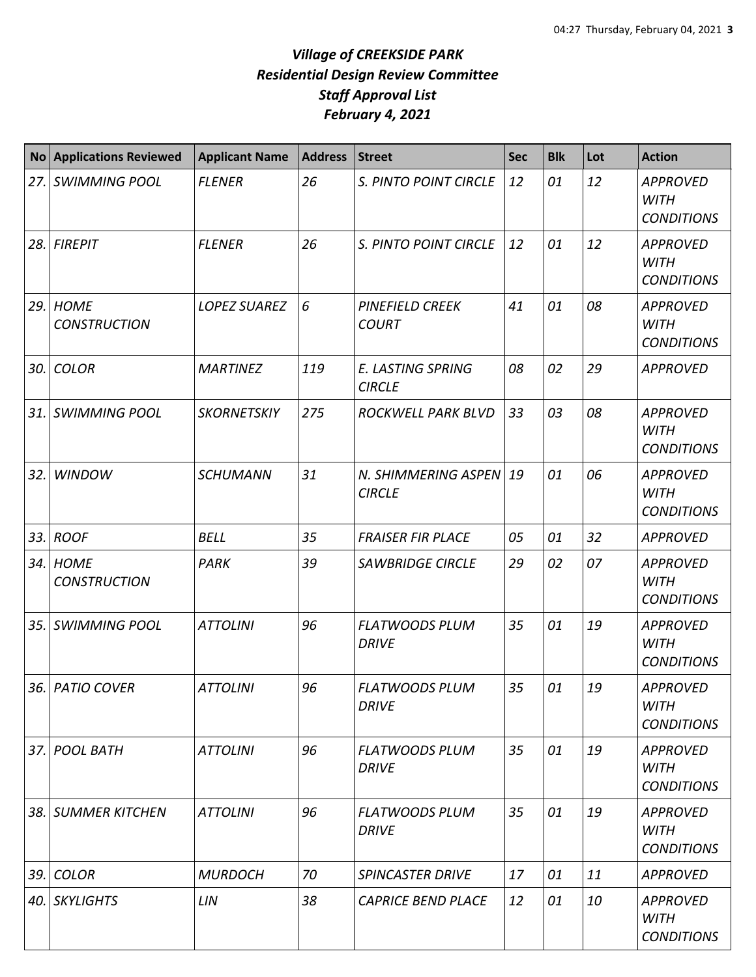| <b>No</b> | <b>Applications Reviewed</b>       | <b>Applicant Name</b> | <b>Address</b> | <b>Street</b>                             | <b>Sec</b> | <b>Blk</b> | Lot | <b>Action</b>                                       |
|-----------|------------------------------------|-----------------------|----------------|-------------------------------------------|------------|------------|-----|-----------------------------------------------------|
| 27.       | <b>SWIMMING POOL</b>               | <b>FLENER</b>         | 26             | S. PINTO POINT CIRCLE                     | 12         | 01         | 12  | <b>APPROVED</b><br><b>WITH</b><br><b>CONDITIONS</b> |
| 28.       | <b>FIREPIT</b>                     | <b>FLENER</b>         | 26             | S. PINTO POINT CIRCLE                     | 12         | 01         | 12  | <b>APPROVED</b><br><b>WITH</b><br><b>CONDITIONS</b> |
| 29.       | <b>HOME</b><br><b>CONSTRUCTION</b> | <b>LOPEZ SUAREZ</b>   | 6              | <b>PINEFIELD CREEK</b><br><b>COURT</b>    | 41         | 01         | 08  | <b>APPROVED</b><br><b>WITH</b><br><b>CONDITIONS</b> |
| 30.       | <b>COLOR</b>                       | <b>MARTINEZ</b>       | 119            | <b>E. LASTING SPRING</b><br><b>CIRCLE</b> | 08         | 02         | 29  | <b>APPROVED</b>                                     |
| 31.       | <b>SWIMMING POOL</b>               | <b>SKORNETSKIY</b>    | 275            | <b>ROCKWELL PARK BLVD</b>                 | 33         | 03         | 08  | <b>APPROVED</b><br><b>WITH</b><br><b>CONDITIONS</b> |
| 32.       | <b>WINDOW</b>                      | <b>SCHUMANN</b>       | 31             | N. SHIMMERING ASPEN<br><b>CIRCLE</b>      | 19         | 01         | 06  | <b>APPROVED</b><br><b>WITH</b><br><b>CONDITIONS</b> |
| 33.       | <b>ROOF</b>                        | <b>BELL</b>           | 35             | <b>FRAISER FIR PLACE</b>                  | 05         | 01         | 32  | <b>APPROVED</b>                                     |
| 34.       | <b>HOME</b><br><b>CONSTRUCTION</b> | PARK                  | 39             | <b>SAWBRIDGE CIRCLE</b>                   | 29         | 02         | 07  | <b>APPROVED</b><br><b>WITH</b><br><b>CONDITIONS</b> |
| 35.       | <b>SWIMMING POOL</b>               | <b>ATTOLINI</b>       | 96             | <b>FLATWOODS PLUM</b><br><b>DRIVE</b>     | 35         | 01         | 19  | <b>APPROVED</b><br><b>WITH</b><br><b>CONDITIONS</b> |
|           | 36. PATIO COVER                    | <b>ATTOLINI</b>       | 96             | <b>FLATWOODS PLUM</b><br><b>DRIVE</b>     | 35         | 01         | 19  | <b>APPROVED</b><br><b>WITH</b><br><b>CONDITIONS</b> |
| 37.       | <b>POOL BATH</b>                   | <b>ATTOLINI</b>       | 96             | <b>FLATWOODS PLUM</b><br>DRIVE            | 35         | 01         | 19  | <b>APPROVED</b><br><b>WITH</b><br><b>CONDITIONS</b> |
|           | 38. SUMMER KITCHEN                 | <b>ATTOLINI</b>       | 96             | <b>FLATWOODS PLUM</b><br><b>DRIVE</b>     | 35         | 01         | 19  | <b>APPROVED</b><br><b>WITH</b><br><b>CONDITIONS</b> |
| 39.       | <b>COLOR</b>                       | <b>MURDOCH</b>        | 70             | <b>SPINCASTER DRIVE</b>                   | 17         | 01         | 11  | <b>APPROVED</b>                                     |
|           | 40. SKYLIGHTS                      | LIN                   | 38             | <b>CAPRICE BEND PLACE</b>                 | 12         | 01         | 10  | <b>APPROVED</b><br><b>WITH</b><br><b>CONDITIONS</b> |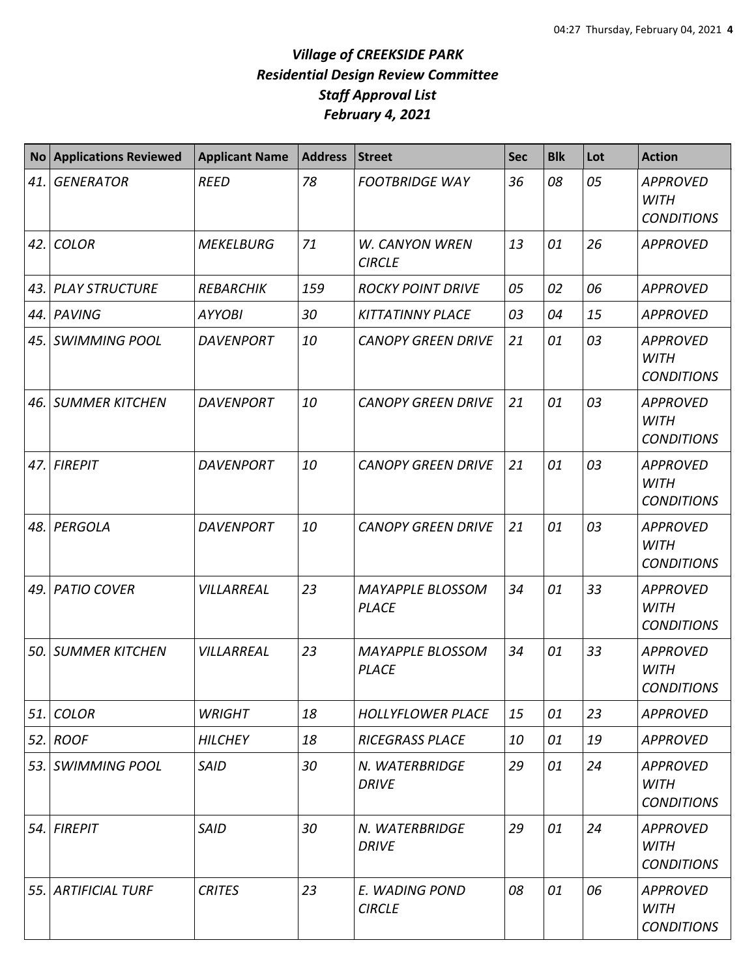| <b>No</b> | <b>Applications Reviewed</b> | <b>Applicant Name</b> | <b>Address</b> | <b>Street</b>                           | <b>Sec</b> | <b>Blk</b> | Lot | <b>Action</b>                                       |
|-----------|------------------------------|-----------------------|----------------|-----------------------------------------|------------|------------|-----|-----------------------------------------------------|
| 41.       | <b>GENERATOR</b>             | <b>REED</b>           | 78             | <b>FOOTBRIDGE WAY</b>                   | 36         | 08         | 05  | <b>APPROVED</b><br><b>WITH</b><br><b>CONDITIONS</b> |
| 42.       | <b>COLOR</b>                 | <b>MEKELBURG</b>      | 71             | W. CANYON WREN<br><b>CIRCLE</b>         | 13         | 01         | 26  | <b>APPROVED</b>                                     |
| 43.       | <b>PLAY STRUCTURE</b>        | <b>REBARCHIK</b>      | 159            | <b>ROCKY POINT DRIVE</b>                | 05         | 02         | 06  | <b>APPROVED</b>                                     |
| 44.       | PAVING                       | <b>AYYOBI</b>         | 30             | <b>KITTATINNY PLACE</b>                 | 03         | 04         | 15  | <b>APPROVED</b>                                     |
| 45.       | <b>SWIMMING POOL</b>         | <b>DAVENPORT</b>      | 10             | <b>CANOPY GREEN DRIVE</b>               | 21         | 01         | 03  | <b>APPROVED</b><br><b>WITH</b><br><b>CONDITIONS</b> |
| 46.       | <b>SUMMER KITCHEN</b>        | <b>DAVENPORT</b>      | 10             | <b>CANOPY GREEN DRIVE</b>               | 21         | 01         | 03  | <b>APPROVED</b><br><b>WITH</b><br><b>CONDITIONS</b> |
| 47.       | <b>FIREPIT</b>               | <b>DAVENPORT</b>      | 10             | <b>CANOPY GREEN DRIVE</b>               | 21         | 01         | 03  | <b>APPROVED</b><br><b>WITH</b><br><b>CONDITIONS</b> |
| 48.       | PERGOLA                      | <b>DAVENPORT</b>      | 10             | <b>CANOPY GREEN DRIVE</b>               | 21         | 01         | 03  | <b>APPROVED</b><br><b>WITH</b><br><b>CONDITIONS</b> |
| 49.       | <b>PATIO COVER</b>           | VILLARREAL            | 23             | <b>MAYAPPLE BLOSSOM</b><br><b>PLACE</b> | 34         | 01         | 33  | <b>APPROVED</b><br><b>WITH</b><br><b>CONDITIONS</b> |
| 50.       | <b>SUMMER KITCHEN</b>        | VILLARREAL            | 23             | <b>MAYAPPLE BLOSSOM</b><br><b>PLACE</b> | 34         | 01         | 33  | <b>APPROVED</b><br><b>WITH</b><br><b>CONDITIONS</b> |
| 51.       | <b>COLOR</b>                 | <b>WRIGHT</b>         | 18             | <b>HOLLYFLOWER PLACE</b>                | 15         | 01         | 23  | <b>APPROVED</b>                                     |
| 52.       | <b>ROOF</b>                  | <b>HILCHEY</b>        | 18             | <b>RICEGRASS PLACE</b>                  | 10         | 01         | 19  | <b>APPROVED</b>                                     |
| 53.       | <b>SWIMMING POOL</b>         | <b>SAID</b>           | 30             | N. WATERBRIDGE<br><b>DRIVE</b>          | 29         | 01         | 24  | <b>APPROVED</b><br><b>WITH</b><br><b>CONDITIONS</b> |
| 54.       | <b>FIREPIT</b>               | <b>SAID</b>           | 30             | N. WATERBRIDGE<br><b>DRIVE</b>          | 29         | 01         | 24  | <b>APPROVED</b><br><b>WITH</b><br><b>CONDITIONS</b> |
| 55.       | <b>ARTIFICIAL TURF</b>       | <b>CRITES</b>         | 23             | E. WADING POND<br><b>CIRCLE</b>         | 08         | 01         | 06  | <b>APPROVED</b><br><b>WITH</b><br><b>CONDITIONS</b> |